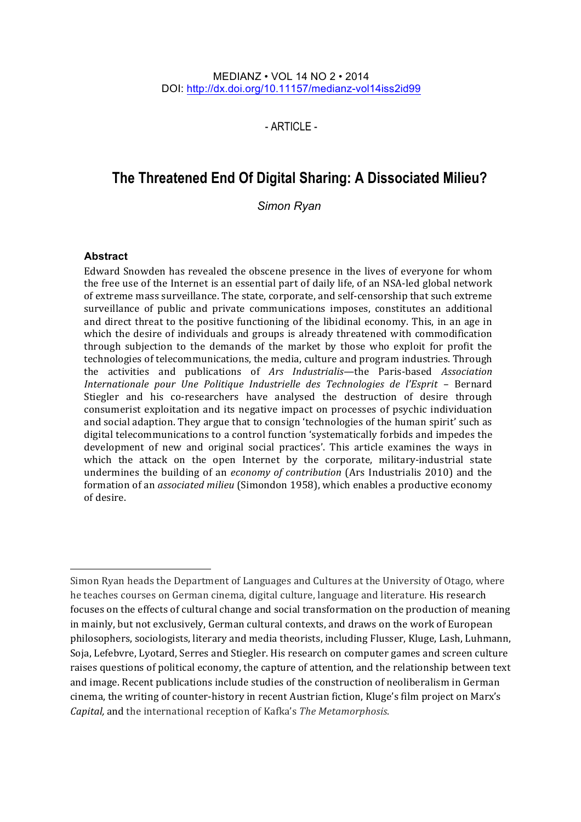#### MEDIANZ • VOL 14 NO 2 • 2014 DOI: http://dx.doi.org/10.11157/medianz-vol14iss2id99

 $-$  ARTICLE $-$ 

# **The Threatened End Of Digital Sharing: A Dissociated Milieu?**

**Simon Ryan** 

### **Abstract**

 

Edward Snowden has revealed the obscene presence in the lives of everyone for whom the free use of the Internet is an essential part of daily life, of an NSA-led global network of extreme mass surveillance. The state, corporate, and self-censorship that such extreme surveillance of public and private communications imposes, constitutes an additional and direct threat to the positive functioning of the libidinal economy. This, in an age in which the desire of individuals and groups is already threatened with commodification through subjection to the demands of the market by those who exploit for profit the technologies of telecommunications, the media, culture and program industries. Through the activities and publications of *Ars Industrialis*—the Paris-based *Association Internationale pour Une Politique Industrielle des Technologies de l'Esprit* – Bernard Stiegler and his co-researchers have analysed the destruction of desire through consumerist exploitation and its negative impact on processes of psychic individuation and social adaption. They argue that to consign 'technologies of the human spirit' such as digital telecommunications to a control function 'systematically forbids and impedes the development of new and original social practices'. This article examines the ways in which the attack on the open Internet by the corporate, military-industrial state undermines the building of an *economy of contribution* (Ars Industrialis 2010) and the formation of an *associated milieu* (Simondon 1958), which enables a productive economy of desire.

Simon Ryan heads the Department of Languages and Cultures at the University of Otago, where he teaches courses on German cinema, digital culture, language and literature. His research focuses on the effects of cultural change and social transformation on the production of meaning in mainly, but not exclusively, German cultural contexts, and draws on the work of European philosophers, sociologists, literary and media theorists, including Flusser, Kluge, Lash, Luhmann, Soja, Lefebvre, Lyotard, Serres and Stiegler. His research on computer games and screen culture raises questions of political economy, the capture of attention, and the relationship between text and image. Recent publications include studies of the construction of neoliberalism in German cinema, the writing of counter-history in recent Austrian fiction, Kluge's film project on Marx's *Capital,* and the international reception of Kafka's *The Metamorphosis*.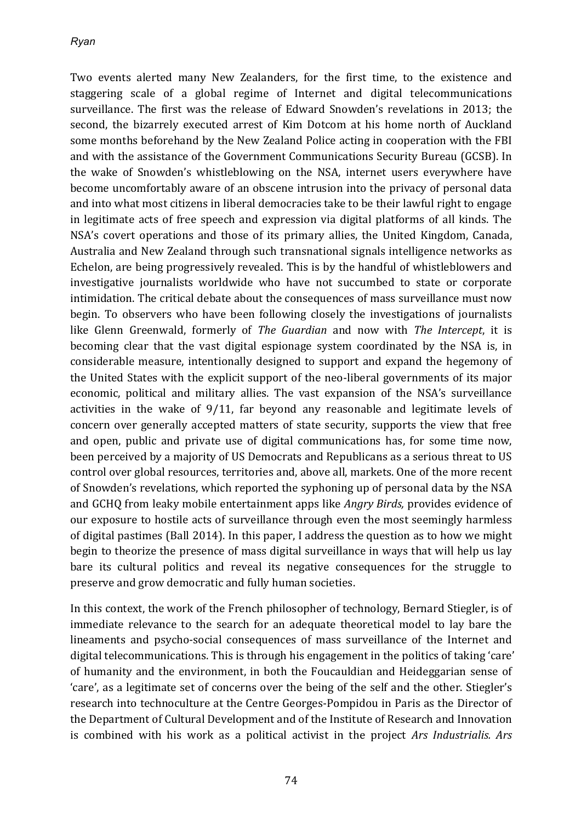Two events alerted many New Zealanders, for the first time, to the existence and staggering scale of a global regime of Internet and digital telecommunications surveillance. The first was the release of Edward Snowden's revelations in 2013; the second, the bizarrely executed arrest of Kim Dotcom at his home north of Auckland some months beforehand by the New Zealand Police acting in cooperation with the FBI and with the assistance of the Government Communications Security Bureau (GCSB). In the wake of Snowden's whistleblowing on the NSA, internet users everywhere have become uncomfortably aware of an obscene intrusion into the privacy of personal data and into what most citizens in liberal democracies take to be their lawful right to engage in legitimate acts of free speech and expression via digital platforms of all kinds. The NSA's covert operations and those of its primary allies, the United Kingdom, Canada, Australia and New Zealand through such transnational signals intelligence networks as Echelon, are being progressively revealed. This is by the handful of whistleblowers and investigative journalists worldwide who have not succumbed to state or corporate intimidation. The critical debate about the consequences of mass surveillance must now begin. To observers who have been following closely the investigations of journalists like Glenn Greenwald, formerly of *The Guardian* and now with *The Intercept*, it is becoming clear that the vast digital espionage system coordinated by the NSA is, in considerable measure, intentionally designed to support and expand the hegemony of the United States with the explicit support of the neo-liberal governments of its major economic, political and military allies. The vast expansion of the NSA's surveillance activities in the wake of  $9/11$ , far beyond any reasonable and legitimate levels of concern over generally accepted matters of state security, supports the view that free and open, public and private use of digital communications has, for some time now, been perceived by a majority of US Democrats and Republicans as a serious threat to US control over global resources, territories and, above all, markets. One of the more recent of Snowden's revelations, which reported the syphoning up of personal data by the NSA and GCHQ from leaky mobile entertainment apps like *Angry Birds*, provides evidence of our exposure to hostile acts of surveillance through even the most seemingly harmless of digital pastimes (Ball 2014). In this paper, I address the question as to how we might begin to theorize the presence of mass digital surveillance in ways that will help us lay bare its cultural politics and reveal its negative consequences for the struggle to preserve and grow democratic and fully human societies.

In this context, the work of the French philosopher of technology, Bernard Stiegler, is of immediate relevance to the search for an adequate theoretical model to lay bare the lineaments and psycho-social consequences of mass surveillance of the Internet and digital telecommunications. This is through his engagement in the politics of taking 'care' of humanity and the environment, in both the Foucauldian and Heideggarian sense of 'care', as a legitimate set of concerns over the being of the self and the other. Stiegler's research into technoculture at the Centre Georges-Pompidou in Paris as the Director of the Department of Cultural Development and of the Institute of Research and Innovation is combined with his work as a political activist in the project *Ars Industrialis. Ars*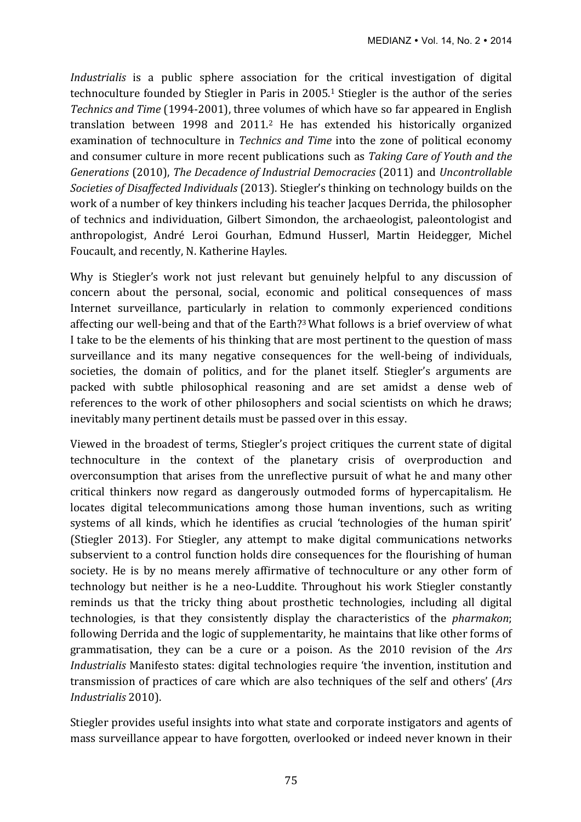*Industrialis* is a public sphere association for the critical investigation of digital technoculture founded by Stiegler in Paris in  $2005<sup>1</sup>$  Stiegler is the author of the series *Technics and Time* (1994-2001), three volumes of which have so far appeared in English translation between 1998 and 2011.<sup>2</sup> He has extended his historically organized examination of technoculture in *Technics and Time* into the zone of political economy and consumer culture in more recent publications such as *Taking Care of Youth and the Generations* (2010), *The Decadence of Industrial Democracies* (2011) and *Uncontrollable Societies of Disaffected Individuals* (2013). Stiegler's thinking on technology builds on the work of a number of key thinkers including his teacher Jacques Derrida, the philosopher of technics and individuation, Gilbert Simondon, the archaeologist, paleontologist and anthropologist, André Leroi Gourhan, Edmund Husserl, Martin Heidegger, Michel Foucault, and recently, N. Katherine Hayles.

Why is Stiegler's work not just relevant but genuinely helpful to any discussion of concern about the personal, social, economic and political consequences of mass Internet surveillance, particularly in relation to commonly experienced conditions affecting our well-being and that of the Earth?<sup>3</sup> What follows is a brief overview of what I take to be the elements of his thinking that are most pertinent to the question of mass surveillance and its many negative consequences for the well-being of individuals, societies, the domain of politics, and for the planet itself. Stiegler's arguments are packed with subtle philosophical reasoning and are set amidst a dense web of references to the work of other philosophers and social scientists on which he draws; inevitably many pertinent details must be passed over in this essay.

Viewed in the broadest of terms, Stiegler's project critiques the current state of digital technoculture in the context of the planetary crisis of overproduction and overconsumption that arises from the unreflective pursuit of what he and many other critical thinkers now regard as dangerously outmoded forms of hypercapitalism. He locates digital telecommunications among those human inventions, such as writing systems of all kinds, which he identifies as crucial 'technologies of the human spirit' (Stiegler 2013). For Stiegler, any attempt to make digital communications networks subservient to a control function holds dire consequences for the flourishing of human society. He is by no means merely affirmative of technoculture or any other form of technology but neither is he a neo-Luddite. Throughout his work Stiegler constantly reminds us that the tricky thing about prosthetic technologies, including all digital technologies, is that they consistently display the characteristics of the *pharmakon*; following Derrida and the logic of supplementarity, he maintains that like other forms of grammatisation, they can be a cure or a poison. As the 2010 revision of the *Ars Industrialis* Manifesto states: digital technologies require 'the invention, institution and transmission of practices of care which are also techniques of the self and others' (*Ars Industrialis* 2010).

Stiegler provides useful insights into what state and corporate instigators and agents of mass surveillance appear to have forgotten, overlooked or indeed never known in their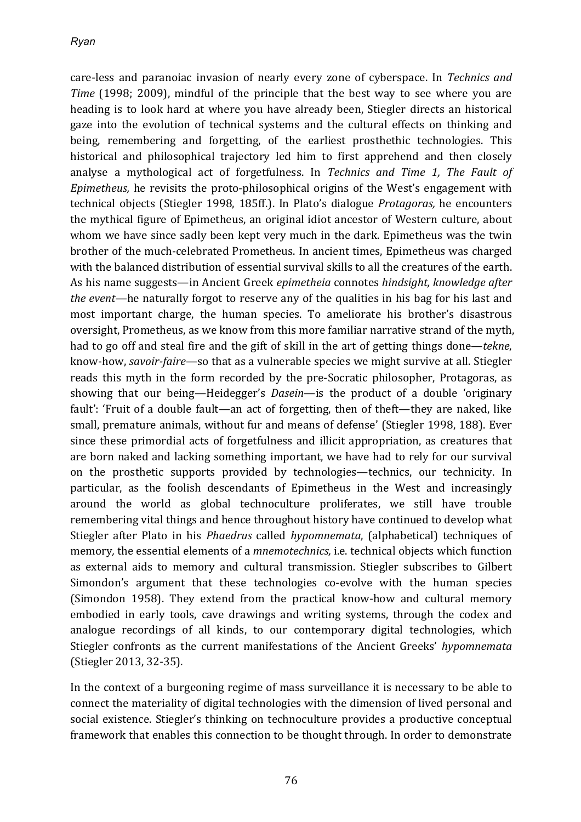care-less and paranoiac invasion of nearly every zone of cyberspace. In *Technics and Time* (1998; 2009), mindful of the principle that the best way to see where you are heading is to look hard at where you have already been, Stiegler directs an historical gaze into the evolution of technical systems and the cultural effects on thinking and being, remembering and forgetting, of the earliest prosthethic technologies. This historical and philosophical trajectory led him to first apprehend and then closely analyse a mythological act of forgetfulness. In *Technics and Time 1, The Fault of Epimetheus,* he revisits the proto-philosophical origins of the West's engagement with technical objects (Stiegler 1998, 185ff.). In Plato's dialogue *Protagoras*, he encounters the mythical figure of Epimetheus, an original idiot ancestor of Western culture, about whom we have since sadly been kept very much in the dark. Epimetheus was the twin brother of the much-celebrated Prometheus. In ancient times, Epimetheus was charged with the balanced distribution of essential survival skills to all the creatures of the earth. As his name suggests—in Ancient Greek *epimetheia* connotes *hindsight*, *knowledge after the event*—he naturally forgot to reserve any of the qualities in his bag for his last and most important charge, the human species. To ameliorate his brother's disastrous oversight, Prometheus, as we know from this more familiar narrative strand of the myth, had to go off and steal fire and the gift of skill in the art of getting things done—*tekne*, know-how, *savoir-faire*—so that as a vulnerable species we might survive at all. Stiegler reads this myth in the form recorded by the pre-Socratic philosopher, Protagoras, as showing that our being—Heidegger's *Dasein*—is the product of a double 'originary fault': 'Fruit of a double fault—an act of forgetting, then of theft—they are naked, like small, premature animals, without fur and means of defense' (Stiegler 1998, 188). Ever since these primordial acts of forgetfulness and illicit appropriation, as creatures that are born naked and lacking something important, we have had to rely for our survival on the prosthetic supports provided by technologies—technics, our technicity. In particular, as the foolish descendants of Epimetheus in the West and increasingly around the world as global technoculture proliferates, we still have trouble remembering vital things and hence throughout history have continued to develop what Stiegler after Plato in his *Phaedrus* called *hypomnemata*, (alphabetical) techniques of memory, the essential elements of a *mnemotechnics*, *i.e.* technical objects which function as external aids to memory and cultural transmission. Stiegler subscribes to Gilbert Simondon's argument that these technologies co-evolve with the human species (Simondon 1958). They extend from the practical know-how and cultural memory embodied in early tools, cave drawings and writing systems, through the codex and analogue recordings of all kinds, to our contemporary digital technologies, which Stiegler confronts as the current manifestations of the Ancient Greeks' *hypomnemata* (Stiegler 2013, 32-35)*.*

In the context of a burgeoning regime of mass surveillance it is necessary to be able to connect the materiality of digital technologies with the dimension of lived personal and social existence. Stiegler's thinking on technoculture provides a productive conceptual framework that enables this connection to be thought through. In order to demonstrate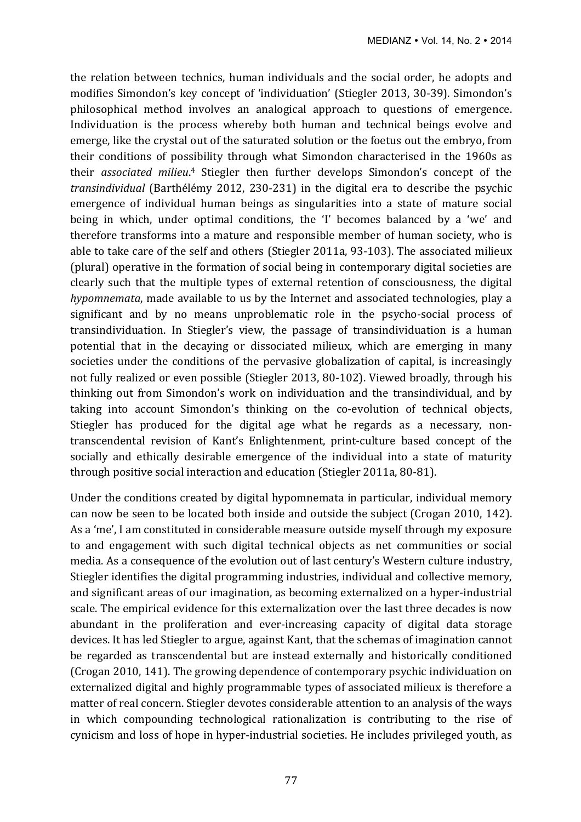the relation between technics, human individuals and the social order, he adopts and modifies Simondon's key concept of 'individuation' (Stiegler 2013, 30-39). Simondon's philosophical method involves an analogical approach to questions of emergence. Individuation is the process whereby both human and technical beings evolve and emerge, like the crystal out of the saturated solution or the foetus out the embryo, from their conditions of possibility through what Simondon characterised in the 1960s as their associated milieu.<sup>4</sup> Stiegler then further develops Simondon's concept of the *transindividual* (Barthélémy 2012, 230-231) in the digital era to describe the psychic emergence of individual human beings as singularities into a state of mature social being in which, under optimal conditions, the 'I' becomes balanced by a 'we' and therefore transforms into a mature and responsible member of human society, who is able to take care of the self and others (Stiegler 2011a, 93-103). The associated milieux (plural) operative in the formation of social being in contemporary digital societies are clearly such that the multiple types of external retention of consciousness, the digital *hypomnemata*, made available to us by the Internet and associated technologies, play a significant and by no means unproblematic role in the psycho-social process of transindividuation. In Stiegler's view, the passage of transindividuation is a human potential that in the decaying or dissociated milieux, which are emerging in many societies under the conditions of the pervasive globalization of capital, is increasingly not fully realized or even possible (Stiegler 2013, 80-102). Viewed broadly, through his thinking out from Simondon's work on individuation and the transindividual, and by taking into account Simondon's thinking on the co-evolution of technical objects, Stiegler has produced for the digital age what he regards as a necessary, nontranscendental revision of Kant's Enlightenment, print-culture based concept of the socially and ethically desirable emergence of the individual into a state of maturity through positive social interaction and education (Stiegler 2011a, 80-81).

Under the conditions created by digital hypomnemata in particular, individual memory can now be seen to be located both inside and outside the subject (Crogan 2010, 142). As a 'me', I am constituted in considerable measure outside myself through my exposure to and engagement with such digital technical objects as net communities or social media. As a consequence of the evolution out of last century's Western culture industry, Stiegler identifies the digital programming industries, individual and collective memory, and significant areas of our imagination, as becoming externalized on a hyper-industrial scale. The empirical evidence for this externalization over the last three decades is now abundant in the proliferation and ever-increasing capacity of digital data storage devices. It has led Stiegler to argue, against Kant, that the schemas of imagination cannot be regarded as transcendental but are instead externally and historically conditioned (Crogan 2010, 141). The growing dependence of contemporary psychic individuation on externalized digital and highly programmable types of associated milieux is therefore a matter of real concern. Stiegler devotes considerable attention to an analysis of the ways in which compounding technological rationalization is contributing to the rise of cynicism and loss of hope in hyper-industrial societies. He includes privileged vouth, as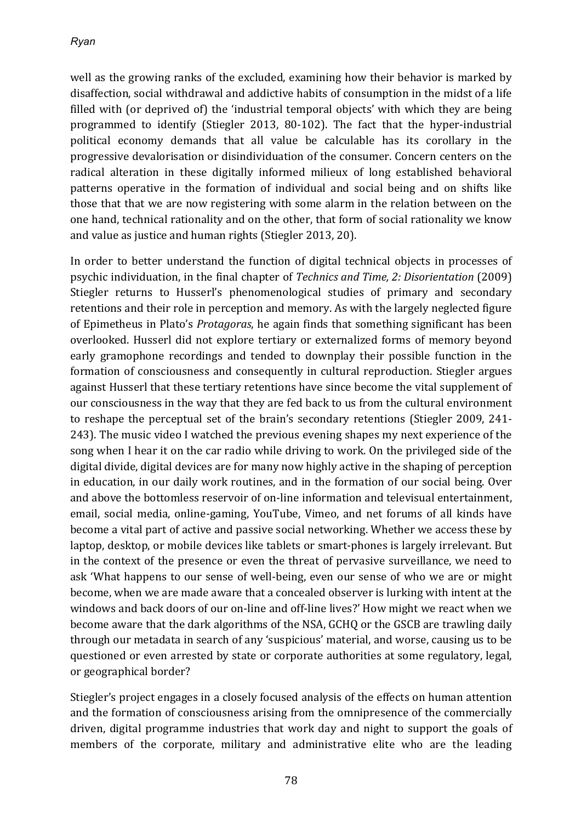*Ryan*

well as the growing ranks of the excluded, examining how their behavior is marked by disaffection, social withdrawal and addictive habits of consumption in the midst of a life filled with (or deprived of) the 'industrial temporal objects' with which they are being programmed to identify (Stiegler 2013, 80-102). The fact that the hyper-industrial political economy demands that all value be calculable has its corollary in the progressive devalorisation or disindividuation of the consumer. Concern centers on the radical alteration in these digitally informed milieux of long established behavioral patterns operative in the formation of individual and social being and on shifts like those that that we are now registering with some alarm in the relation between on the one hand, technical rationality and on the other, that form of social rationality we know and value as justice and human rights (Stiegler 2013, 20).

In order to better understand the function of digital technical objects in processes of psychic individuation, in the final chapter of *Technics and Time, 2: Disorientation* (2009) Stiegler returns to Husserl's phenomenological studies of primary and secondary retentions and their role in perception and memory. As with the largely neglected figure of Epimetheus in Plato's *Protagoras*, he again finds that something significant has been overlooked. Husserl did not explore tertiary or externalized forms of memory beyond early gramophone recordings and tended to downplay their possible function in the formation of consciousness and consequently in cultural reproduction. Stiegler argues against Husserl that these tertiary retentions have since become the vital supplement of our consciousness in the way that they are fed back to us from the cultural environment to reshape the perceptual set of the brain's secondary retentions (Stiegler 2009, 241-243). The music video I watched the previous evening shapes my next experience of the song when I hear it on the car radio while driving to work. On the privileged side of the digital divide, digital devices are for many now highly active in the shaping of perception in education, in our daily work routines, and in the formation of our social being. Over and above the bottomless reservoir of on-line information and televisual entertainment, email, social media, online-gaming, YouTube, Vimeo, and net forums of all kinds have become a vital part of active and passive social networking. Whether we access these by laptop, desktop, or mobile devices like tablets or smart-phones is largely irrelevant. But in the context of the presence or even the threat of pervasive surveillance, we need to ask 'What happens to our sense of well-being, even our sense of who we are or might become, when we are made aware that a concealed observer is lurking with intent at the windows and back doors of our on-line and off-line lives?' How might we react when we become aware that the dark algorithms of the NSA, GCHQ or the GSCB are trawling daily through our metadata in search of any 'suspicious' material, and worse, causing us to be questioned or even arrested by state or corporate authorities at some regulatory, legal, or geographical border?

Stiegler's project engages in a closely focused analysis of the effects on human attention and the formation of consciousness arising from the omnipresence of the commercially driven, digital programme industries that work day and night to support the goals of members of the corporate, military and administrative elite who are the leading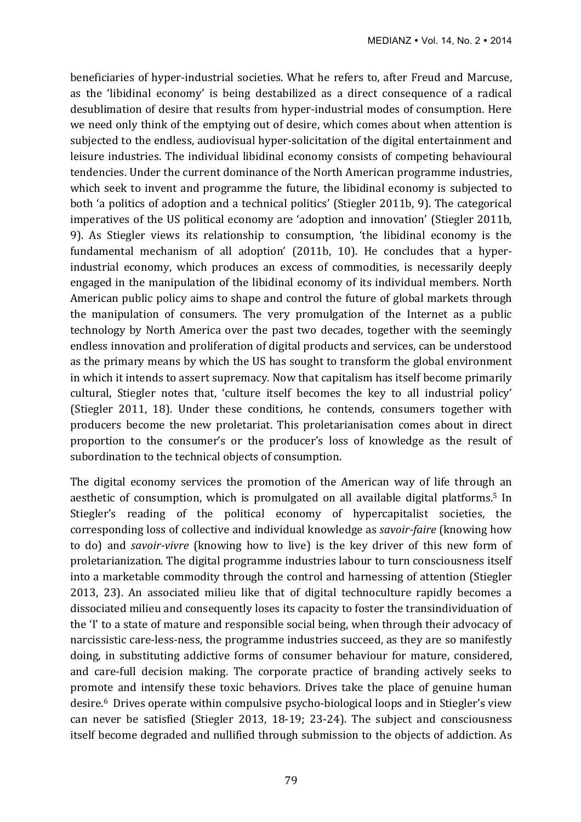beneficiaries of hyper-industrial societies. What he refers to, after Freud and Marcuse, as the 'libidinal economy' is being destabilized as a direct consequence of a radical desublimation of desire that results from hyper-industrial modes of consumption. Here we need only think of the emptying out of desire, which comes about when attention is subjected to the endless, audiovisual hyper-solicitation of the digital entertainment and leisure industries. The individual libidinal economy consists of competing behavioural tendencies. Under the current dominance of the North American programme industries, which seek to invent and programme the future, the libidinal economy is subjected to both 'a politics of adoption and a technical politics' (Stiegler 2011b, 9). The categorical imperatives of the US political economy are 'adoption and innovation' (Stiegler 2011b, 9). As Stiegler views its relationship to consumption, 'the libidinal economy is the fundamental mechanism of all adoption' (2011b, 10). He concludes that a hyperindustrial economy, which produces an excess of commodities, is necessarily deeply engaged in the manipulation of the libidinal economy of its individual members. North American public policy aims to shape and control the future of global markets through the manipulation of consumers. The very promulgation of the Internet as a public technology by North America over the past two decades, together with the seemingly endless innovation and proliferation of digital products and services, can be understood as the primary means by which the US has sought to transform the global environment in which it intends to assert supremacy. Now that capitalism has itself become primarily cultural, Stiegler notes that, 'culture itself becomes the key to all industrial policy' (Stiegler 2011, 18). Under these conditions, he contends, consumers together with producers become the new proletariat. This proletarianisation comes about in direct proportion to the consumer's or the producer's loss of knowledge as the result of subordination to the technical objects of consumption.

The digital economy services the promotion of the American way of life through an aesthetic of consumption, which is promulgated on all available digital platforms.<sup>5</sup> In Stiegler's reading of the political economy of hypercapitalist societies, the corresponding loss of collective and individual knowledge as *savoir-faire* (knowing how to do) and *savoir-vivre* (knowing how to live) is the key driver of this new form of proletarianization. The digital programme industries labour to turn consciousness itself into a marketable commodity through the control and harnessing of attention (Stiegler 2013, 23). An associated milieu like that of digital technoculture rapidly becomes a dissociated milieu and consequently loses its capacity to foster the transindividuation of the 'I' to a state of mature and responsible social being, when through their advocacy of narcissistic care-less-ness, the programme industries succeed, as they are so manifestly doing, in substituting addictive forms of consumer behaviour for mature, considered, and care-full decision making. The corporate practice of branding actively seeks to promote and intensify these toxic behaviors. Drives take the place of genuine human desire.<sup>6</sup> Drives operate within compulsive psycho-biological loops and in Stiegler's view can never be satisfied (Stiegler 2013, 18-19; 23-24). The subject and consciousness itself become degraded and nullified through submission to the objects of addiction. As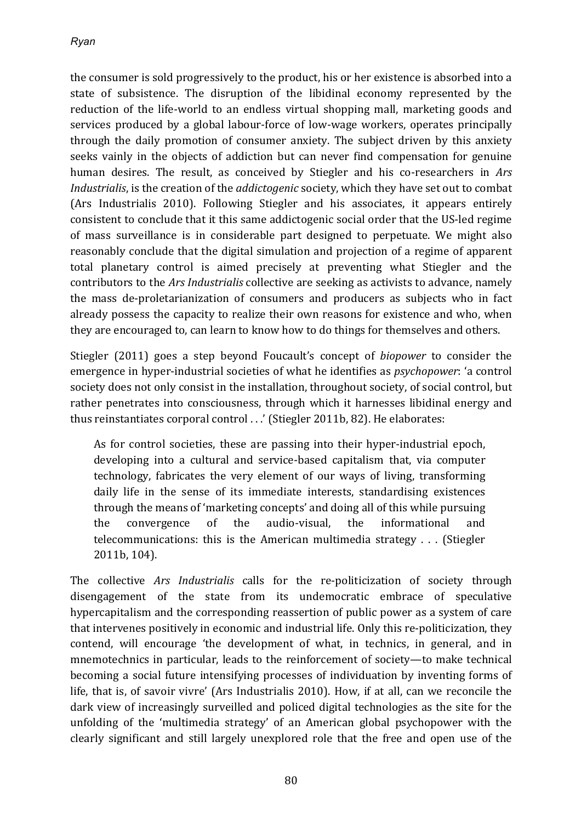the consumer is sold progressively to the product, his or her existence is absorbed into a state of subsistence. The disruption of the libidinal economy represented by the reduction of the life-world to an endless virtual shopping mall, marketing goods and services produced by a global labour-force of low-wage workers, operates principally through the daily promotion of consumer anxiety. The subject driven by this anxiety seeks vainly in the objects of addiction but can never find compensation for genuine human desires. The result, as conceived by Stiegler and his co-researchers in *Ars Industrialis*, is the creation of the *addictogenic* society, which they have set out to combat (Ars Industrialis 2010). Following Stiegler and his associates, it appears entirely consistent to conclude that it this same addictogenic social order that the US-led regime of mass surveillance is in considerable part designed to perpetuate. We might also reasonably conclude that the digital simulation and projection of a regime of apparent total planetary control is aimed precisely at preventing what Stiegler and the contributors to the *Ars Industrialis* collective are seeking as activists to advance, namely the mass de-proletarianization of consumers and producers as subjects who in fact already possess the capacity to realize their own reasons for existence and who, when they are encouraged to, can learn to know how to do things for themselves and others.

Stiegler (2011) goes a step beyond Foucault's concept of *biopower* to consider the emergence in hyper-industrial societies of what he identifies as *psychopower*: 'a control society does not only consist in the installation, throughout society, of social control, but rather penetrates into consciousness, through which it harnesses libidinal energy and thus reinstantiates corporal control  $\ldots$  (Stiegler 2011b, 82). He elaborates:

As for control societies, these are passing into their hyper-industrial epoch, developing into a cultural and service-based capitalism that, via computer technology, fabricates the very element of our ways of living, transforming daily life in the sense of its immediate interests, standardising existences through the means of 'marketing concepts' and doing all of this while pursuing the convergence of the audio-visual, the informational and telecommunications: this is the American multimedia strategy  $\ldots$  (Stiegler 2011b, 104).

The collective *Ars Industrialis* calls for the re-politicization of society through disengagement of the state from its undemocratic embrace of speculative hypercapitalism and the corresponding reassertion of public power as a system of care that intervenes positively in economic and industrial life. Only this re-politicization, they contend, will encourage 'the development of what, in technics, in general, and in mnemotechnics in particular, leads to the reinforcement of society—to make technical becoming a social future intensifying processes of individuation by inventing forms of life, that is, of savoir vivre' (Ars Industrialis 2010). How, if at all, can we reconcile the dark view of increasingly surveilled and policed digital technologies as the site for the unfolding of the 'multimedia strategy' of an American global psychopower with the clearly significant and still largely unexplored role that the free and open use of the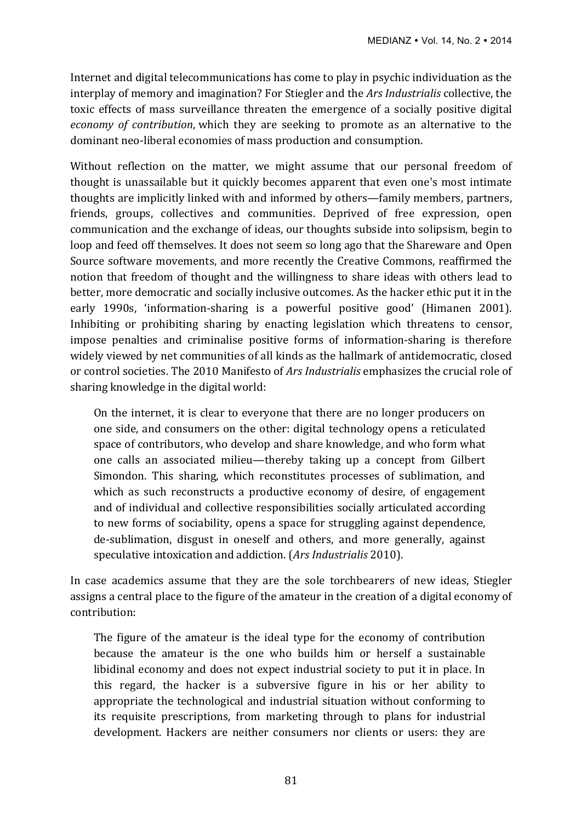Internet and digital telecommunications has come to play in psychic individuation as the interplay of memory and imagination? For Stiegler and the Ars Industrialis collective, the toxic effects of mass surveillance threaten the emergence of a socially positive digital *economy of contribution*, which they are seeking to promote as an alternative to the dominant neo-liberal economies of mass production and consumption.

Without reflection on the matter, we might assume that our personal freedom of thought is unassailable but it quickly becomes apparent that even one's most intimate thoughts are implicitly linked with and informed by others—family members, partners, friends, groups, collectives and communities. Deprived of free expression, open communication and the exchange of ideas, our thoughts subside into solipsism, begin to loop and feed off themselves. It does not seem so long ago that the Shareware and Open Source software movements, and more recently the Creative Commons, reaffirmed the notion that freedom of thought and the willingness to share ideas with others lead to better, more democratic and socially inclusive outcomes. As the hacker ethic put it in the early 1990s, 'information-sharing is a powerful positive good' (Himanen 2001). Inhibiting or prohibiting sharing by enacting legislation which threatens to censor, impose penalties and criminalise positive forms of information-sharing is therefore widely viewed by net communities of all kinds as the hallmark of antidemocratic, closed or control societies. The 2010 Manifesto of *Ars Industrialis* emphasizes the crucial role of sharing knowledge in the digital world:

On the internet, it is clear to everyone that there are no longer producers on one side, and consumers on the other: digital technology opens a reticulated space of contributors, who develop and share knowledge, and who form what one calls an associated milieu—thereby taking up a concept from Gilbert Simondon. This sharing, which reconstitutes processes of sublimation, and which as such reconstructs a productive economy of desire, of engagement and of individual and collective responsibilities socially articulated according to new forms of sociability, opens a space for struggling against dependence, de-sublimation, disgust in oneself and others, and more generally, against speculative intoxication and addiction. (Ars Industrialis 2010).

In case academics assume that they are the sole torchbearers of new ideas, Stiegler assigns a central place to the figure of the amateur in the creation of a digital economy of contribution: 

The figure of the amateur is the ideal type for the economy of contribution because the amateur is the one who builds him or herself a sustainable libidinal economy and does not expect industrial society to put it in place. In this regard, the hacker is a subversive figure in his or her ability to appropriate the technological and industrial situation without conforming to its requisite prescriptions, from marketing through to plans for industrial development. Hackers are neither consumers nor clients or users: they are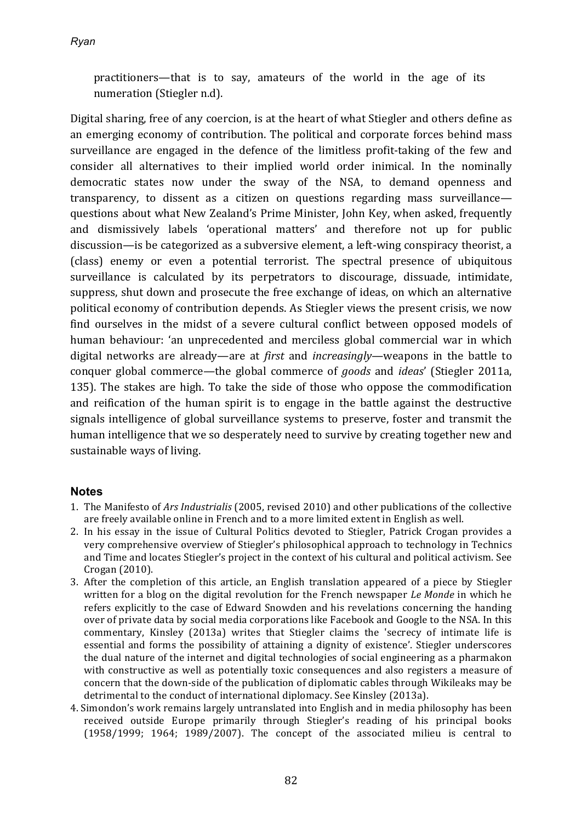*Ryan*

practitioners—that is to say, amateurs of the world in the age of its numeration (Stiegler n.d).

Digital sharing, free of any coercion, is at the heart of what Stiegler and others define as an emerging economy of contribution. The political and corporate forces behind mass surveillance are engaged in the defence of the limitless profit-taking of the few and consider all alternatives to their implied world order inimical. In the nominally democratic states now under the sway of the NSA, to demand openness and transparency, to dissent as a citizen on questions regarding mass surveillance questions about what New Zealand's Prime Minister, John Key, when asked, frequently and dismissively labels 'operational matters' and therefore not up for public discussion—is be categorized as a subversive element, a left-wing conspiracy theorist, a (class) enemy or even a potential terrorist. The spectral presence of ubiquitous surveillance is calculated by its perpetrators to discourage, dissuade, intimidate, suppress, shut down and prosecute the free exchange of ideas, on which an alternative political economy of contribution depends. As Stiegler views the present crisis, we now find ourselves in the midst of a severe cultural conflict between opposed models of human behaviour: 'an unprecedented and merciless global commercial war in which digital networks are already—are at *first* and *increasingly*—weapons in the battle to conquer global commerce—the global commerce of *goods* and *ideas*' (Stiegler 2011a, 135). The stakes are high. To take the side of those who oppose the commodification and reification of the human spirit is to engage in the battle against the destructive signals intelligence of global surveillance systems to preserve, foster and transmit the human intelligence that we so desperately need to survive by creating together new and sustainable ways of living.

## **Notes**

- 1. The Manifesto of Ars Industrialis (2005, revised 2010) and other publications of the collective are freely available online in French and to a more limited extent in English as well.
- 2. In his essay in the issue of Cultural Politics devoted to Stiegler, Patrick Crogan provides a very comprehensive overview of Stiegler's philosophical approach to technology in Technics and Time and locates Stiegler's project in the context of his cultural and political activism. See Crogan (2010).
- 3. After the completion of this article, an English translation appeared of a piece by Stiegler written for a blog on the digital revolution for the French newspaper *Le Monde* in which he refers explicitly to the case of Edward Snowden and his revelations concerning the handing over of private data by social media corporations like Facebook and Google to the NSA. In this commentary, Kinsley (2013a) writes that Stiegler claims the 'secrecy of intimate life is essential and forms the possibility of attaining a dignity of existence'. Stiegler underscores the dual nature of the internet and digital technologies of social engineering as a pharmakon with constructive as well as potentially toxic consequences and also registers a measure of concern that the down-side of the publication of diplomatic cables through Wikileaks may be detrimental to the conduct of international diplomacy. See Kinsley (2013a).
- 4. Simondon's work remains largely untranslated into English and in media philosophy has been received outside Europe primarily through Stiegler's reading of his principal books  $(1958/1999; 1964; 1989/2007)$ . The concept of the associated milieu is central to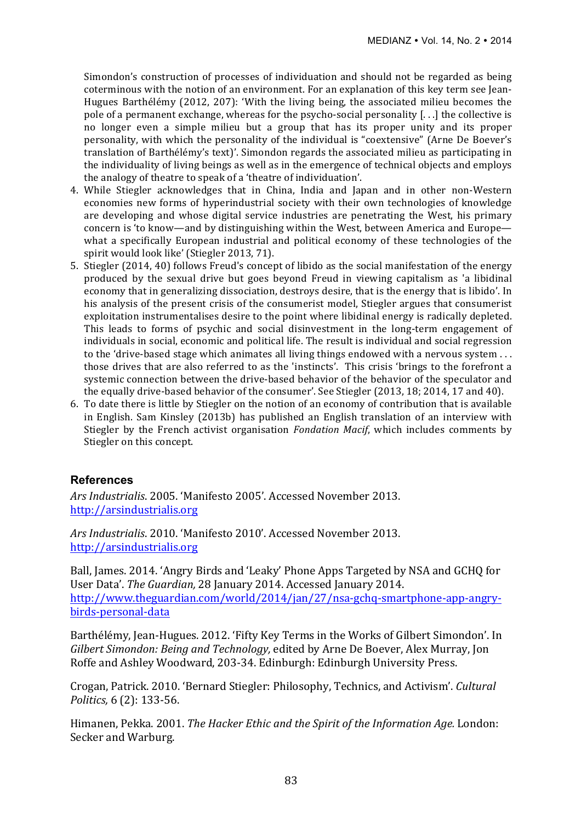Simondon's construction of processes of individuation and should not be regarded as being coterminous with the notion of an environment. For an explanation of this key term see Jean-Hugues Barthélémy  $(2012, 207)$ : 'With the living being, the associated milieu becomes the pole of a permanent exchange, whereas for the psycho-social personality  $[...]$  the collective is no longer even a simple milieu but a group that has its proper unity and its proper personality, with which the personality of the individual is "coextensive" (Arne De Boever's translation of Barthélémy's text)'. Simondon regards the associated milieu as participating in the individuality of living beings as well as in the emergence of technical objects and employs the analogy of theatre to speak of a 'theatre of individuation'.

- 4. While Stiegler acknowledges that in China, India and Japan and in other non-Western economies new forms of hyperindustrial society with their own technologies of knowledge are developing and whose digital service industries are penetrating the West, his primary concern is 'to know—and by distinguishing within the West, between America and Europe what a specifically European industrial and political economy of these technologies of the spirit would look like' (Stiegler 2013, 71).
- 5. Stiegler (2014, 40) follows Freud's concept of libido as the social manifestation of the energy produced by the sexual drive but goes beyond Freud in viewing capitalism as 'a libidinal economy that in generalizing dissociation, destroys desire, that is the energy that is libido'. In his analysis of the present crisis of the consumerist model, Stiegler argues that consumerist exploitation instrumentalises desire to the point where libidinal energy is radically depleted. This leads to forms of psychic and social disinvestment in the long-term engagement of individuals in social, economic and political life. The result is individual and social regression to the 'drive-based stage which animates all living things endowed with a nervous system  $\dots$ those drives that are also referred to as the 'instincts'. This crisis 'brings to the forefront a systemic connection between the drive-based behavior of the behavior of the speculator and the equally drive-based behavior of the consumer'. See Stiegler  $(2013, 18; 2014, 17 \text{ and } 40)$ .
- 6. To date there is little by Stiegler on the notion of an economy of contribution that is available in English. Sam Kinsley (2013b) has published an English translation of an interview with Stiegler by the French activist organisation *Fondation Macif*, which includes comments by Stiegler on this concept.

## **References**

Ars Industrialis. 2005. 'Manifesto 2005'. Accessed November 2013. http://arsindustrialis.org

Ars *Industrialis*. 2010. 'Manifesto 2010'. Accessed November 2013. http://arsindustrialis.org

Ball, James. 2014. 'Angry Birds and 'Leaky' Phone Apps Targeted by NSA and GCHQ for User Data'. *The Guardian*, 28 January 2014. Accessed January 2014. http://www.theguardian.com/world/2014/jan/27/nsa-gchq-smartphone-app-angrybirds-personal-data

Barthélémy, Jean-Hugues. 2012. 'Fifty Key Terms in the Works of Gilbert Simondon'. In *Gilbert Simondon: Being and Technology, edited by Arne De Boever, Alex Murray, Jon* Roffe and Ashley Woodward, 203-34. Edinburgh: Edinburgh University Press.

Crogan, Patrick. 2010. 'Bernard Stiegler: Philosophy, Technics, and Activism'. *Cultural Politics,* 6 (2): 133-56.

Himanen, Pekka. 2001. *The Hacker Ethic and the Spirit of the Information Age.* London: Secker and Warburg.